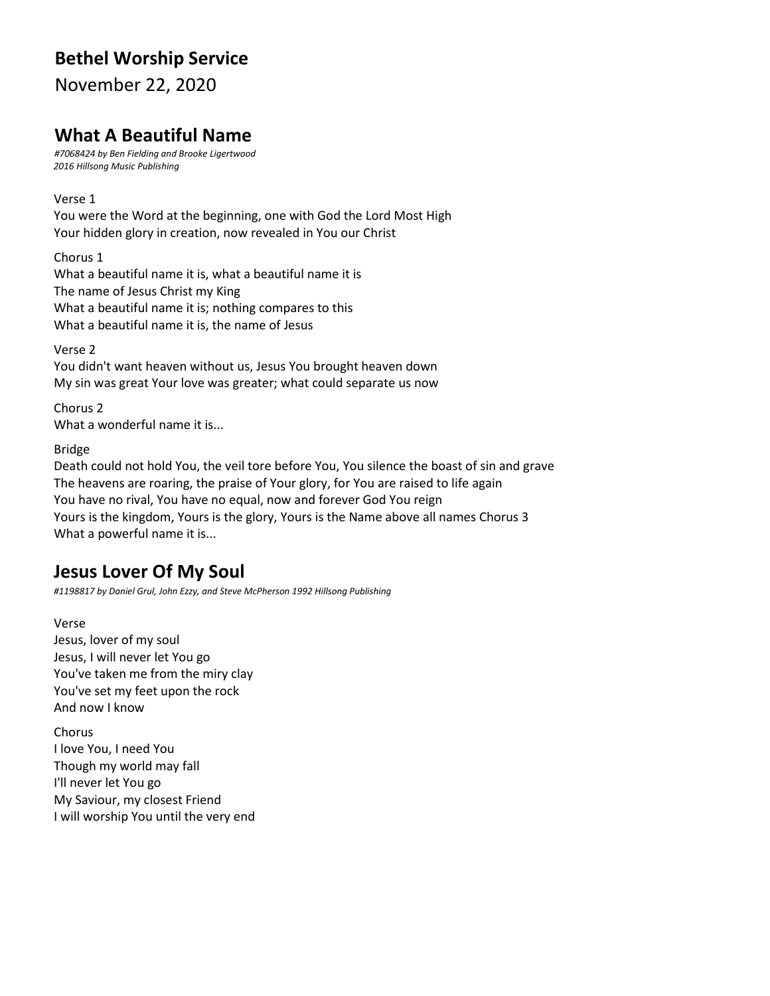# **Bethel Worship Service**

November 22, 2020

# **What A Beautiful Name**

*#7068424 by Ben Fielding and Brooke Ligertwood 2016 Hillsong Music Publishing*

Verse 1

You were the Word at the beginning, one with God the Lord Most High Your hidden glory in creation, now revealed in You our Christ

Chorus 1 What a beautiful name it is, what a beautiful name it is The name of Jesus Christ my King What a beautiful name it is; nothing compares to this What a beautiful name it is, the name of Jesus

Verse 2 You didn't want heaven without us, Jesus You brought heaven down My sin was great Your love was greater; what could separate us now

Chorus 2 What a wonderful name it is...

Bridge

Death could not hold You, the veil tore before You, You silence the boast of sin and grave The heavens are roaring, the praise of Your glory, for You are raised to life again You have no rival, You have no equal, now and forever God You reign Yours is the kingdom, Yours is the glory, Yours is the Name above all names Chorus 3 What a powerful name it is...

# **Jesus Lover Of My Soul**

*#1198817 by Daniel Grul, John Ezzy, and Steve McPherson 1992 Hillsong Publishing*

Verse Jesus, lover of my soul Jesus, I will never let You go You've taken me from the miry clay You've set my feet upon the rock And now I know

Chorus I love You, I need You Though my world may fall I'll never let You go My Saviour, my closest Friend I will worship You until the very end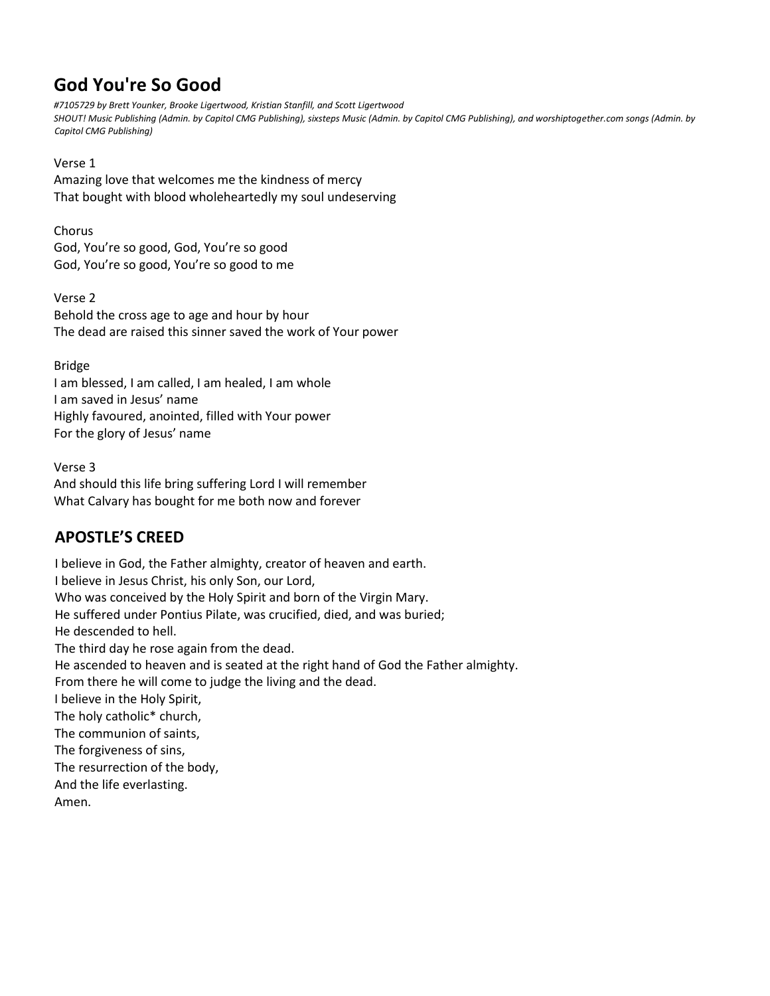# **God You're So Good**

*#7105729 by Brett Younker, Brooke Ligertwood, Kristian Stanfill, and Scott Ligertwood SHOUT! Music Publishing (Admin. by Capitol CMG Publishing), sixsteps Music (Admin. by Capitol CMG Publishing), and worshiptogether.com songs (Admin. by Capitol CMG Publishing)*

#### Verse 1

Amazing love that welcomes me the kindness of mercy That bought with blood wholeheartedly my soul undeserving

#### Chorus

God, You're so good, God, You're so good God, You're so good, You're so good to me

Verse 2 Behold the cross age to age and hour by hour The dead are raised this sinner saved the work of Your power

#### Bridge

I am blessed, I am called, I am healed, I am whole I am saved in Jesus' name Highly favoured, anointed, filled with Your power For the glory of Jesus' name

#### Verse 3

And should this life bring suffering Lord I will remember What Calvary has bought for me both now and forever

### **APOSTLE'S CREED**

I believe in God, the Father almighty, creator of heaven and earth. I believe in Jesus Christ, his only Son, our Lord, Who was conceived by the Holy Spirit and born of the Virgin Mary. He suffered under Pontius Pilate, was crucified, died, and was buried; He descended to hell. The third day he rose again from the dead. He ascended to heaven and is seated at the right hand of God the Father almighty. From there he will come to judge the living and the dead. I believe in the Holy Spirit, The holy catholic\* church, The communion of saints, The forgiveness of sins, The resurrection of the body, And the life everlasting. Amen.